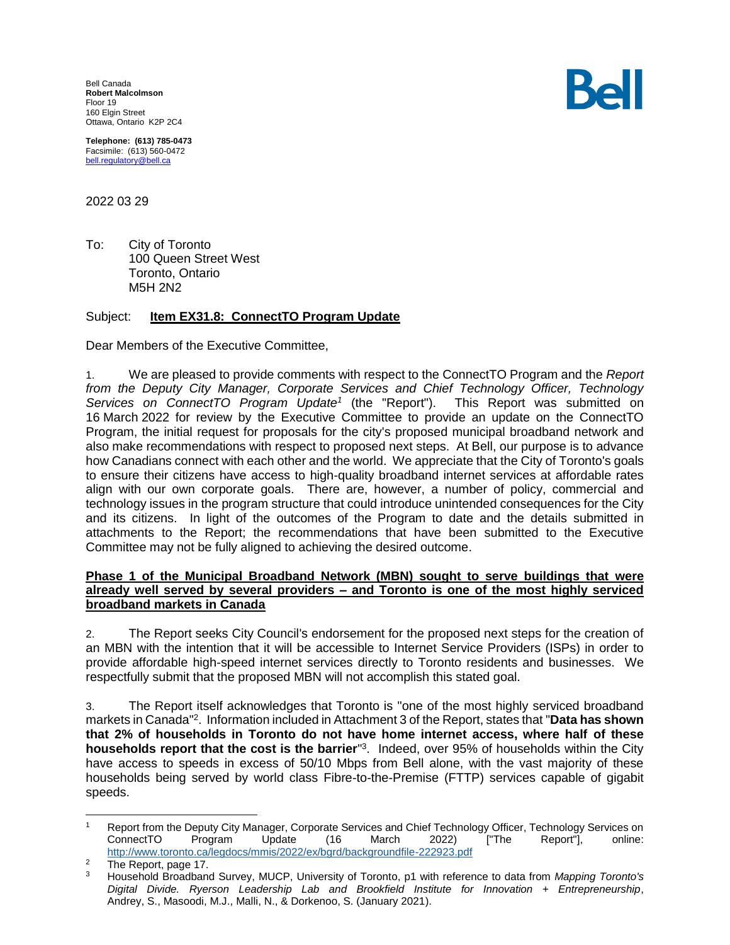Bell Canada **Robert Malcolmson** Floor 19 160 Elgin Street Ottawa, Ontario K2P 2C4

**Telephone: (613) 785-0473** Facsimile: (613) 560-0472 [bell.regulatory@bell.ca](mailto:bell.regulatory@bell.ca)

2022 03 29

To: City of Toronto 100 Queen Street West Toronto, Ontario M5H 2N2

#### Subject: **Item EX31.8: ConnectTO Program Update**

Dear Members of the Executive Committee,

1. We are pleased to provide comments with respect to the ConnectTO Program and the *Report from the Deputy City Manager, Corporate Services and Chief Technology Officer, Technology Services on ConnectTO Program Update<sup>1</sup>* This Report was submitted on 16 March 2022 for review by the Executive Committee to provide an update on the ConnectTO Program, the initial request for proposals for the city's proposed municipal broadband network and also make recommendations with respect to proposed next steps. At Bell, our purpose is to advance how Canadians connect with each other and the world. We appreciate that the City of Toronto's goals to ensure their citizens have access to high-quality broadband internet services at affordable rates align with our own corporate goals. There are, however, a number of policy, commercial and technology issues in the program structure that could introduce unintended consequences for the City and its citizens. In light of the outcomes of the Program to date and the details submitted in attachments to the Report; the recommendations that have been submitted to the Executive Committee may not be fully aligned to achieving the desired outcome.

# **Phase 1 of the Municipal Broadband Network (MBN) sought to serve buildings that were already well served by several providers – and Toronto is one of the most highly serviced broadband markets in Canada**

2. The Report seeks City Council's endorsement for the proposed next steps for the creation of an MBN with the intention that it will be accessible to Internet Service Providers (ISPs) in order to provide affordable high-speed internet services directly to Toronto residents and businesses. We respectfully submit that the proposed MBN will not accomplish this stated goal.

3. The Report itself acknowledges that Toronto is "one of the most highly serviced broadband markets in Canada" 2 . Information included in Attachment 3 of the Report, states that "**Data has shown that 2% of households in Toronto do not have home internet access, where half of these households report that the cost is the barrier**" 3 . Indeed, over 95% of households within the City have access to speeds in excess of 50/10 Mbps from Bell alone, with the vast majority of these households being served by world class Fibre-to-the-Premise (FTTP) services capable of gigabit speeds.



 Report from the Deputy City Manager, Corporate Services and Chief Technology Officer, Technology Services on ConnectTO Program Update (16 March 2022) ["The Report"], online: <http://www.toronto.ca/legdocs/mmis/2022/ex/bgrd/backgroundfile-222923.pdf>

 $\frac{2}{3}$  The Report, page 17.

<sup>3</sup> Household Broadband Survey, MUCP, University of Toronto, p1 with reference to data from *Mapping Toronto's Digital Divide. Ryerson Leadership Lab and Brookfield Institute for Innovation + Entrepreneurship*, Andrey, S., Masoodi, M.J., Malli, N., & Dorkenoo, S. (January 2021).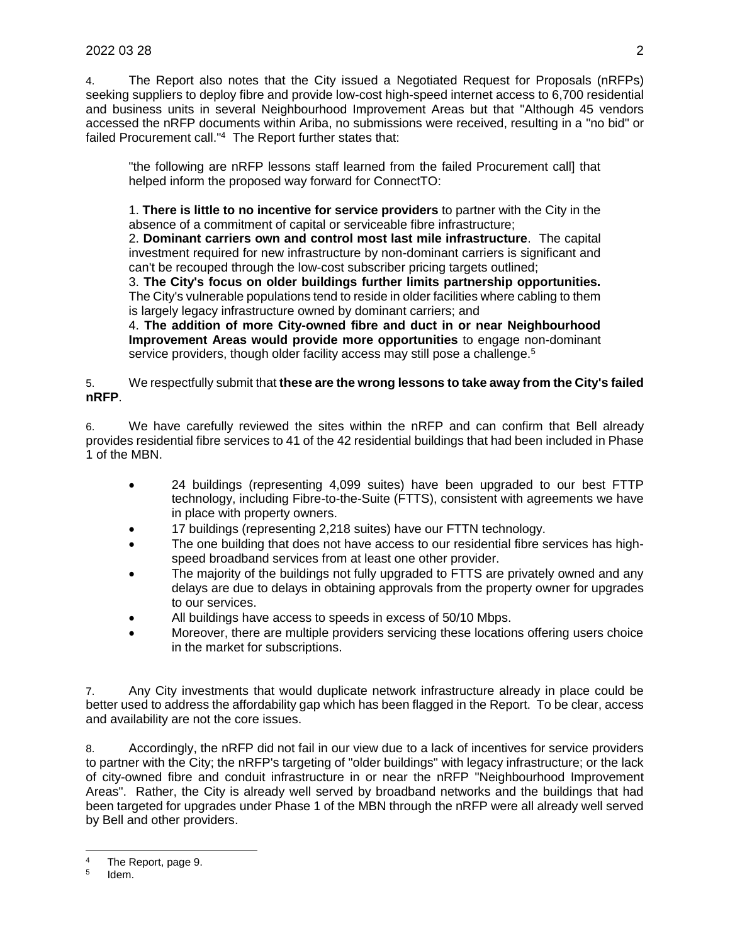4. The Report also notes that the City issued a Negotiated Request for Proposals (nRFPs) seeking suppliers to deploy fibre and provide low-cost high-speed internet access to 6,700 residential and business units in several Neighbourhood Improvement Areas but that "Although 45 vendors accessed the nRFP documents within Ariba, no submissions were received, resulting in a "no bid" or failed Procurement call."<sup>4</sup> The Report further states that:

"the following are nRFP lessons staff learned from the failed Procurement call] that helped inform the proposed way forward for ConnectTO:

1. **There is little to no incentive for service providers** to partner with the City in the absence of a commitment of capital or serviceable fibre infrastructure;

2. **Dominant carriers own and control most last mile infrastructure**. The capital investment required for new infrastructure by non-dominant carriers is significant and can't be recouped through the low-cost subscriber pricing targets outlined;

3. **The City's focus on older buildings further limits partnership opportunities.** The City's vulnerable populations tend to reside in older facilities where cabling to them is largely legacy infrastructure owned by dominant carriers; and

4. **The addition of more City-owned fibre and duct in or near Neighbourhood Improvement Areas would provide more opportunities** to engage non-dominant service providers, though older facility access may still pose a challenge.<sup>5</sup>

# 5. We respectfully submit that **these are the wrong lessons to take away from the City's failed nRFP**.

6. We have carefully reviewed the sites within the nRFP and can confirm that Bell already provides residential fibre services to 41 of the 42 residential buildings that had been included in Phase 1 of the MBN.

- 24 buildings (representing 4,099 suites) have been upgraded to our best FTTP technology, including Fibre-to-the-Suite (FTTS), consistent with agreements we have in place with property owners.
- 17 buildings (representing 2,218 suites) have our FTTN technology.
- The one building that does not have access to our residential fibre services has highspeed broadband services from at least one other provider.
- The majority of the buildings not fully upgraded to FTTS are privately owned and any delays are due to delays in obtaining approvals from the property owner for upgrades to our services.
- All buildings have access to speeds in excess of 50/10 Mbps.
- Moreover, there are multiple providers servicing these locations offering users choice in the market for subscriptions.

7. Any City investments that would duplicate network infrastructure already in place could be better used to address the affordability gap which has been flagged in the Report. To be clear, access and availability are not the core issues.

8. Accordingly, the nRFP did not fail in our view due to a lack of incentives for service providers to partner with the City; the nRFP's targeting of "older buildings" with legacy infrastructure; or the lack of city-owned fibre and conduit infrastructure in or near the nRFP "Neighbourhood Improvement Areas". Rather, the City is already well served by broadband networks and the buildings that had been targeted for upgrades under Phase 1 of the MBN through the nRFP were all already well served by Bell and other providers.

 $\overline{a}$ 

<sup>4</sup> The Report, page 9.

<sup>5</sup> Idem.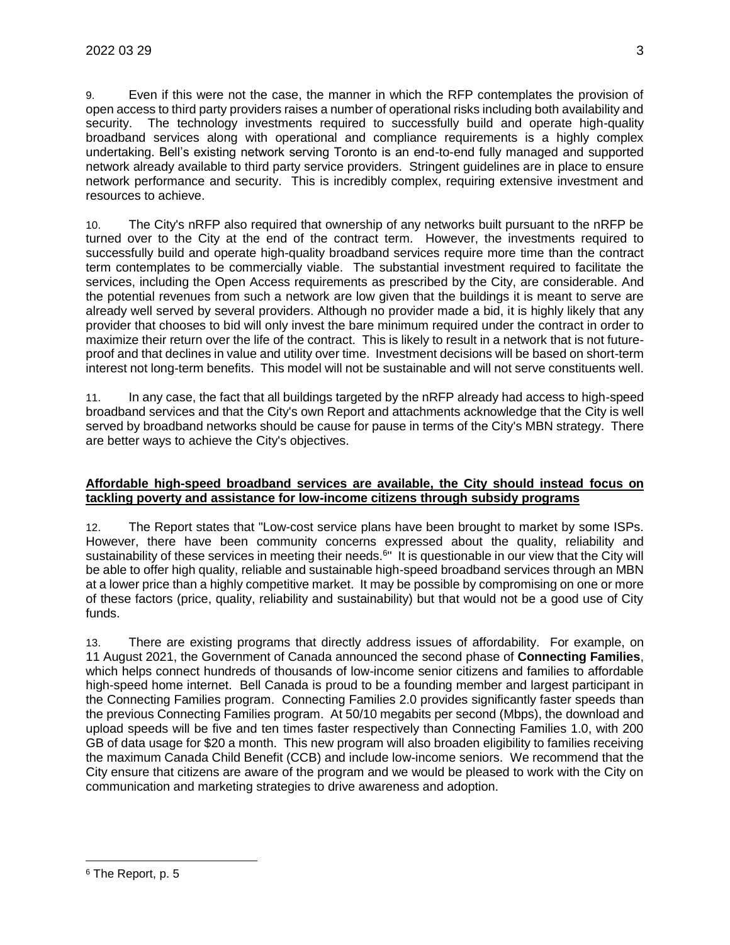9. Even if this were not the case, the manner in which the RFP contemplates the provision of open access to third party providers raises a number of operational risks including both availability and security. The technology investments required to successfully build and operate high-quality broadband services along with operational and compliance requirements is a highly complex undertaking. Bell's existing network serving Toronto is an end-to-end fully managed and supported network already available to third party service providers. Stringent guidelines are in place to ensure network performance and security. This is incredibly complex, requiring extensive investment and resources to achieve.

10. The City's nRFP also required that ownership of any networks built pursuant to the nRFP be turned over to the City at the end of the contract term. However, the investments required to successfully build and operate high-quality broadband services require more time than the contract term contemplates to be commercially viable. The substantial investment required to facilitate the services, including the Open Access requirements as prescribed by the City, are considerable. And the potential revenues from such a network are low given that the buildings it is meant to serve are already well served by several providers. Although no provider made a bid, it is highly likely that any provider that chooses to bid will only invest the bare minimum required under the contract in order to maximize their return over the life of the contract. This is likely to result in a network that is not futureproof and that declines in value and utility over time. Investment decisions will be based on short-term interest not long-term benefits. This model will not be sustainable and will not serve constituents well.

11. In any case, the fact that all buildings targeted by the nRFP already had access to high-speed broadband services and that the City's own Report and attachments acknowledge that the City is well served by broadband networks should be cause for pause in terms of the City's MBN strategy. There are better ways to achieve the City's objectives.

# **Affordable high-speed broadband services are available, the City should instead focus on tackling poverty and assistance for low-income citizens through subsidy programs**

12. The Report states that "Low-cost service plans have been brought to market by some ISPs. However, there have been community concerns expressed about the quality, reliability and sustainability of these services in meeting their needs.<sup>6</sup>" It is questionable in our view that the City will be able to offer high quality, reliable and sustainable high-speed broadband services through an MBN at a lower price than a highly competitive market. It may be possible by compromising on one or more of these factors (price, quality, reliability and sustainability) but that would not be a good use of City funds.

13. There are existing programs that directly address issues of affordability. For example, on 11 August 2021, the Government of Canada announced the second phase of **Connecting Families**, which helps connect hundreds of thousands of low-income senior citizens and families to affordable high-speed home internet. Bell Canada is proud to be a founding member and largest participant in the Connecting Families program. Connecting Families 2.0 provides significantly faster speeds than the previous Connecting Families program. At 50/10 megabits per second (Mbps), the download and upload speeds will be five and ten times faster respectively than Connecting Families 1.0, with 200 GB of data usage for \$20 a month. This new program will also broaden eligibility to families receiving the maximum Canada Child Benefit (CCB) and include low-income seniors. We recommend that the City ensure that citizens are aware of the program and we would be pleased to work with the City on communication and marketing strategies to drive awareness and adoption.

<sup>6</sup> The Report, p. 5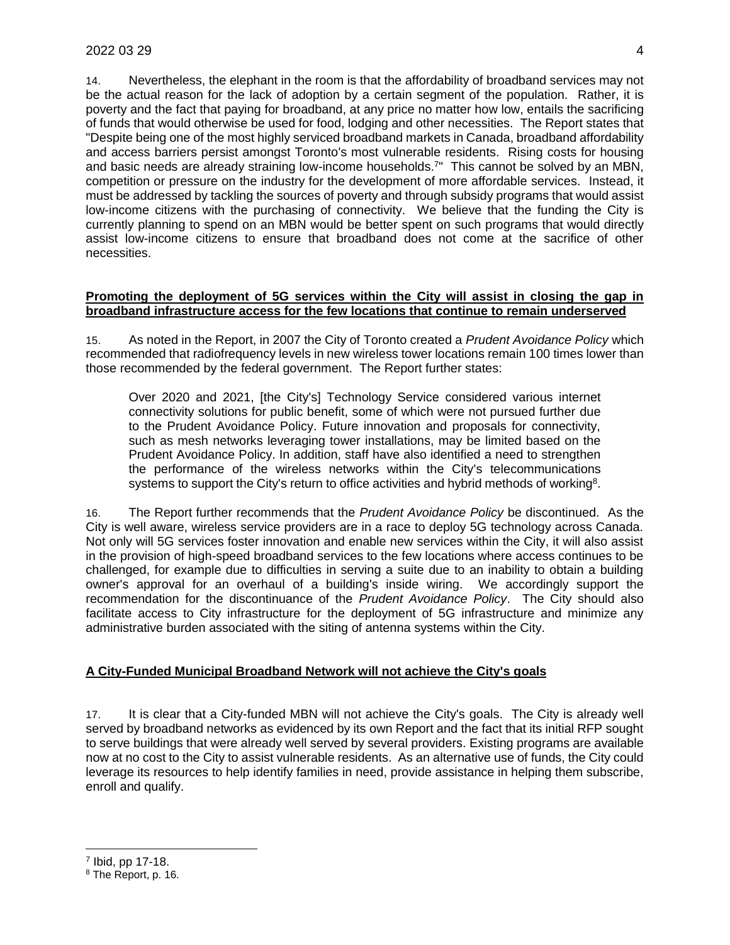14. Nevertheless, the elephant in the room is that the affordability of broadband services may not be the actual reason for the lack of adoption by a certain segment of the population. Rather, it is poverty and the fact that paying for broadband, at any price no matter how low, entails the sacrificing of funds that would otherwise be used for food, lodging and other necessities. The Report states that "Despite being one of the most highly serviced broadband markets in Canada, broadband affordability and access barriers persist amongst Toronto's most vulnerable residents. Rising costs for housing and basic needs are already straining low-income households.<sup>7</sup>" This cannot be solved by an MBN, competition or pressure on the industry for the development of more affordable services. Instead, it must be addressed by tackling the sources of poverty and through subsidy programs that would assist low-income citizens with the purchasing of connectivity. We believe that the funding the City is currently planning to spend on an MBN would be better spent on such programs that would directly assist low-income citizens to ensure that broadband does not come at the sacrifice of other necessities.

#### **Promoting the deployment of 5G services within the City will assist in closing the gap in broadband infrastructure access for the few locations that continue to remain underserved**

15. As noted in the Report, in 2007 the City of Toronto created a *Prudent Avoidance Policy* which recommended that radiofrequency levels in new wireless tower locations remain 100 times lower than those recommended by the federal government. The Report further states:

Over 2020 and 2021, [the City's] Technology Service considered various internet connectivity solutions for public benefit, some of which were not pursued further due to the Prudent Avoidance Policy. Future innovation and proposals for connectivity, such as mesh networks leveraging tower installations, may be limited based on the Prudent Avoidance Policy. In addition, staff have also identified a need to strengthen the performance of the wireless networks within the City's telecommunications systems to support the City's return to office activities and hybrid methods of working<sup>8</sup>.

16. The Report further recommends that the *Prudent Avoidance Policy* be discontinued. As the City is well aware, wireless service providers are in a race to deploy 5G technology across Canada. Not only will 5G services foster innovation and enable new services within the City, it will also assist in the provision of high-speed broadband services to the few locations where access continues to be challenged, for example due to difficulties in serving a suite due to an inability to obtain a building owner's approval for an overhaul of a building's inside wiring. We accordingly support the recommendation for the discontinuance of the *Prudent Avoidance Policy*. The City should also facilitate access to City infrastructure for the deployment of 5G infrastructure and minimize any administrative burden associated with the siting of antenna systems within the City.

# **A City-Funded Municipal Broadband Network will not achieve the City's goals**

17. It is clear that a City-funded MBN will not achieve the City's goals. The City is already well served by broadband networks as evidenced by its own Report and the fact that its initial RFP sought to serve buildings that were already well served by several providers. Existing programs are available now at no cost to the City to assist vulnerable residents. As an alternative use of funds, the City could leverage its resources to help identify families in need, provide assistance in helping them subscribe, enroll and qualify.

<sup>8</sup> The Report, p. 16.